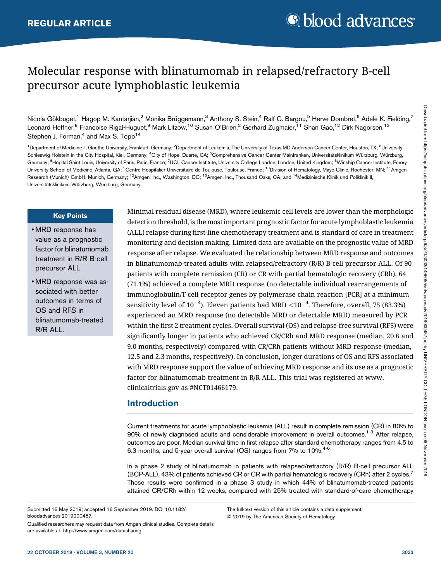# Molecular response with blinatumomab in relapsed/refractory B-cell precursor acute lymphoblastic leukemia

Nicola Gökbuget,<sup>1</sup> Hagop M. Kantarjian,<sup>2</sup> Monika Brüggemann,<sup>3</sup> Anthony S. Stein,<sup>4</sup> Ralf C. Bargou,<sup>5</sup> Hervé Dombret,<sup>6</sup> Adele K. Fielding,<sup>7</sup> Leonard Heffner,<sup>8</sup> Françoise Rigal-Huguet,<sup>9</sup> Mark Litzow,<sup>10</sup> Susan O'Brien,<sup>2</sup> Gerhard Zugmaier,<sup>11</sup> Shan Gao,<sup>12</sup> Dirk Nagorsen,<sup>13</sup> Stephen J. Forman, $4$  and Max S. Topp<sup>14</sup>

<sup>1</sup> Department of Medicine II, Goethe University, Frankfurt, Germany; <sup>2</sup>Department of Leukemia, The University of Texas MD Anderson Cancer Center, Houston, TX; <sup>3</sup>University Schleswig Holstein in the City Hospital, Kiel, Germany; <sup>4</sup>City of Hope, Duarte, CA; <sup>5</sup>Comprehensive Cancer Center Mainfranken, Universitätsklinikum Würzburg, Würzburg, Germany; <sup>6</sup>Hôpital Saint Louis, University of Paris, Paris, France; <sup>7</sup>UCL Cancer Institute, University College London, London, United Kingdom; <sup>8</sup>Winship Cancer Institute, Emory University School of Medicine, Atlanta, GA; <sup>9</sup>Centre Hospitalier Universitaire de Toulouse, Toulouse, France; <sup>10</sup>Division of Hematology, Mayo Clinic, Rochester, MN; <sup>11</sup>Amgen Research (Munich) GmbH, Munich, Germany; <sup>12</sup>Amgen, Inc., Washington, DC; <sup>13</sup>Amgen, Inc., Thousand Oaks, CA; and <sup>14</sup>Medizinische Klinik und Poliklinik II, Universitätsklinikum Würzburg, Würzburg, Germany

#### Key Points

- MRD response has value as a prognostic factor for blinatumomab treatment in R/R B-cell precursor ALL.
- MRD response was associated with better outcomes in terms of OS and RFS in blinatumomab-treated R/R ALL.

Minimal residual disease (MRD), where leukemic cell levels are lower than the morphologic detection threshold, is the most important prognostic factor for acute lymphoblastic leukemia (ALL) relapse during first-line chemotherapy treatment and is standard of care in treatment monitoring and decision making. Limited data are available on the prognostic value of MRD response after relapse. We evaluated the relationship between MRD response and outcomes in blinatumomab-treated adults with relapsed/refractory (R/R) B-cell precursor ALL. Of 90 patients with complete remission (CR) or CR with partial hematologic recovery (CRh), 64 (71.1%) achieved a complete MRD response (no detectable individual rearrangements of immunoglobulin/T-cell receptor genes by polymerase chain reaction [PCR] at a minimum sensitivity level of 10 $^{-4}$ ). Eleven patients had MRD  $<$ 10 $^{-4}$ . Therefore, overall, 75 (83.3%) experienced an MRD response (no detectable MRD or detectable MRD) measured by PCR within the first 2 treatment cycles. Overall survival (OS) and relapse-free survival (RFS) were significantly longer in patients who achieved CR/CRh and MRD response (median, 20.6 and 9.0 months, respectively) compared with CR/CRh patients without MRD response (median, 12.5 and 2.3 months, respectively). In conclusion, longer durations of OS and RFS associated with MRD response support the value of achieving MRD response and its use as a prognostic factor for blinatumomab treatment in R/R ALL. This trial was registered at [www.](http://www.clinicaltrials.gov) [clinicaltrials.gov](http://www.clinicaltrials.gov) as #NCT01466179.

## Introduction

Current treatments for acute lymphoblastic leukemia (ALL) result in complete remission (CR) in 80% to 90% of newly diagnosed adults and considerable improvement in overall outcomes.<sup>1-3</sup> After relapse, outcomes are poor. Median survival time in first relapse after standard chemotherapy ranges from 4.5 to 6.3 months, and 5-year overall survival (OS) ranges from 7% to 10%.<sup>4-6</sup>

In a phase 2 study of blinatumomab in patients with relapsed/refractory (R/R) B-cell precursor ALL (BCP-ALL), 43% of patients achieved CR or CR with partial hematologic recovery (CRh) after 2 cycles.<sup>7</sup> These results were confirmed in a phase 3 study in which 44% of blinatumomab-treated patients attained CR/CRh within 12 weeks, compared with 25% treated with standard-of-care chemotherapy

Submitted 16 May 2019; accepted 16 September 2019. DOI 10.1182/ bloodadvances.2019000457.

Qualified researchers may request data from Amgen clinical studies. Complete details are available at:<http://www.amgen.com/datasharing>.

The full-text version of this article contains a data supplement. © 2019 by The American Society of Hematology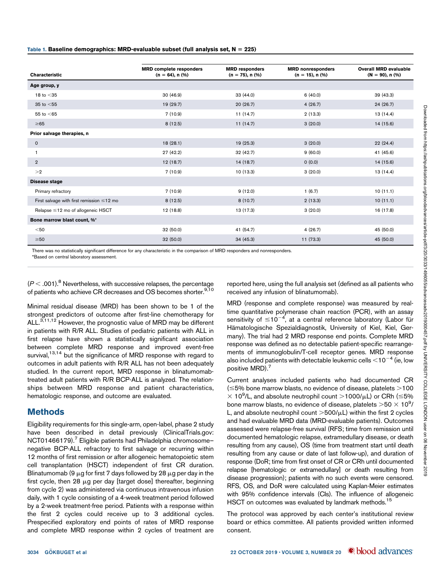|                                                 | <b>MRD</b> complete responders | <b>MRD</b> responders | <b>MRD</b> nonresponders | <b>Overall MRD evaluable</b> |
|-------------------------------------------------|--------------------------------|-----------------------|--------------------------|------------------------------|
| <b>Characteristic</b>                           | $(n = 64)$ , n $(\%)$          | $(n = 75)$ , n $(\%)$ | $(n = 15)$ , n $(\%)$    | $(N = 90)$ , n $(\%)$        |
| Age group, y                                    |                                |                       |                          |                              |
| 18 to $<$ 35                                    | 30 (46.9)                      | 33 (44.0)             | 6(40.0)                  | 39 (43.3)                    |
| 35 to $<$ 55                                    | 19 (29.7)                      | 20(26.7)              | 4(26.7)                  | 24 (26.7)                    |
| 55 to $<$ 65                                    | 7(10.9)                        | 11(14.7)              | 2(13.3)                  | 13 (14.4)                    |
| $\geq 65$                                       | 8(12.5)                        | 11(14.7)              | 3(20.0)                  | 14 (15.6)                    |
| Prior salvage therapies, n                      |                                |                       |                          |                              |
| $\mathbf 0$                                     | 18(28.1)                       | 19(25.3)              | 3(20.0)                  | 22(24.4)                     |
| $\mathbf{1}$                                    | 27 (42.2)                      | 32 (42.7)             | 9(60.0)                  | 41 (45.6)                    |
| $\overline{2}$                                  | 12(18.7)                       | 14(18.7)              | (0.0)                    | 14 (15.6)                    |
| >2                                              | 7(10.9)                        | 10(13.3)              | 3(20.0)                  | 13 (14.4)                    |
| Disease stage                                   |                                |                       |                          |                              |
| Primary refractory                              | 7(10.9)                        | 9(12.0)               | 1(6.7)                   | 10(11.1)                     |
| First salvage with first remission $\leq$ 12 mo | 8(12.5)                        | 8(10.7)               | 2(13.3)                  | 10(11.1)                     |
| Relapse $\leq$ 12 mo of allogeneic HSCT         | 12 (18.8)                      | 13 (17.3)             | 3(20.0)                  | 16 (17.8)                    |
| Bone marrow blast count, %*                     |                                |                       |                          |                              |
| $50$                                            | 32 (50.0)                      | 41 (54.7)             | 4(26.7)                  | 45 (50.0)                    |
| $\geq 50$                                       | 32 (50.0)                      | 34(45.3)              | 11(73.3)                 | 45 (50.0)                    |

There was no statistically significant difference for any characteristic in the comparison of MRD responders and nonresponders.

\*Based on central laboratory assessment.

 $(P < .001)$ .<sup>8</sup> Nevertheless, with successive relapses, the percentage of patients who achieve CR decreases and OS becomes shorter.<sup>9,10</sup>

Minimal residual disease (MRD) has been shown to be 1 of the strongest predictors of outcome after first-line chemotherapy for ALL.<sup>3,11,12</sup> However, the prognostic value of MRD may be different in patients with R/R ALL. Studies of pediatric patients with ALL in first relapse have shown a statistically significant association between complete MRD response and improved event-free survival,<sup>13,14</sup> but the significance of MRD response with regard to outcomes in adult patients with R/R ALL has not been adequately studied. In the current report, MRD response in blinatumomabtreated adult patients with R/R BCP-ALL is analyzed. The relationships between MRD response and patient characteristics, hematologic response, and outcome are evaluated.

### Methods

Eligibility requirements for this single-arm, open-label, phase 2 study have been described in detail previously (ClinicalTrials.gov: NCT01466179).<sup>7</sup> Eligible patients had Philadelphia chromosomenegative BCP-ALL refractory to first salvage or recurring within 12 months of first remission or after allogeneic hematopoietic stem cell transplantation (HSCT) independent of first CR duration. Blinatumomab (9  $\mu$ g for first 7 days followed by 28  $\mu$ g per day in the first cycle, then 28  $\mu$ g per day [target dose] thereafter, beginning from cycle 2) was administered via continuous intravenous infusion daily, with 1 cycle consisting of a 4-week treatment period followed by a 2-week treatment-free period. Patients with a response within the first 2 cycles could receive up to 3 additional cycles. Prespecified exploratory end points of rates of MRD response and complete MRD response within 2 cycles of treatment are reported here, using the full analysis set (defined as all patients who received any infusion of blinatumomab).

MRD (response and complete response) was measured by realtime quantitative polymerase chain reaction (PCR), with an assay sensitivity of  $\leq$ 10<sup>-4</sup>, at a central reference laboratory (Labor fur Hämatologische Spezialdiagnostik, University of Kiel, Kiel, Germany). The trial had 2 MRD response end points. Complete MRD response was defined as no detectable patient-specific rearrangements of immunoglobulin/T-cell receptor genes. MRD response also included patients with detectable leukemic cells  $<$  10<sup>-4</sup> (ie, low positive MRD).<sup>7</sup>

Current analyses included patients who had documented CR  $(\leq$  5% bone marrow blasts, no evidence of disease, platelets  $>$  100  $\times$  10<sup>9</sup>/L, and absolute neutrophil count >1000/ $\mu$ L) or CRh ( $\leq$ 5% bone marrow blasts, no evidence of disease, platelets  $>\!\!50\times 10^9\ell$ L, and absolute neutrophil count  $>500/\mu$ L) within the first 2 cycles and had evaluable MRD data (MRD-evaluable patients). Outcomes assessed were relapse-free survival (RFS; time from remission until documented hematologic relapse, extramedullary disease, or death resulting from any cause), OS (time from treatment start until death resulting from any cause or date of last follow-up), and duration of response (DoR; time from first onset of CR or CRh until documented relapse [hematologic or extramedullary] or death resulting from disease progression); patients with no such events were censored. RFS, OS, and DoR were calculated using Kaplan-Meier estimates with 95% confidence intervals (CIs). The influence of allogeneic HSCT on outcomes was evaluated by landmark methods.<sup>15</sup>

The protocol was approved by each center's institutional review board or ethics committee. All patients provided written informed consent.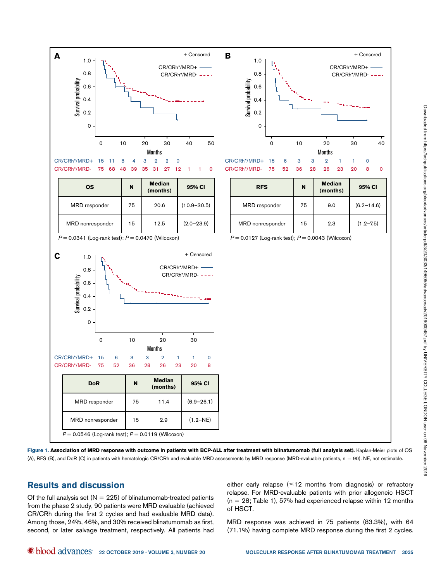

Figure 1. Association of MRD response with outcome in patients with BCP-ALL after treatment with blinatumomab (full analysis set). Kaplan-Meier plots of OS (A), RFS (B), and DoR (C) in patients with hematologic CR/CRh and evaluable MRD assessments by MRD response (MRD-evaluable patients, n = 90). NE, not estimable.

## Results and discussion

Of the full analysis set ( $N = 225$ ) of blinatumomab-treated patients from the phase 2 study, 90 patients were MRD evaluable (achieved CR/CRh during the first 2 cycles and had evaluable MRD data). Among those, 24%, 46%, and 30% received blinatumomab as first, second, or later salvage treatment, respectively. All patients had

either early relapse  $(\leq 12$  months from diagnosis) or refractory relapse. For MRD-evaluable patients with prior allogeneic HSCT  $(n = 28;$  Table 1), 57% had experienced relapse within 12 months of HSCT.

MRD response was achieved in 75 patients (83.3%), with 64 (71.1%) having complete MRD response during the first 2 cycles.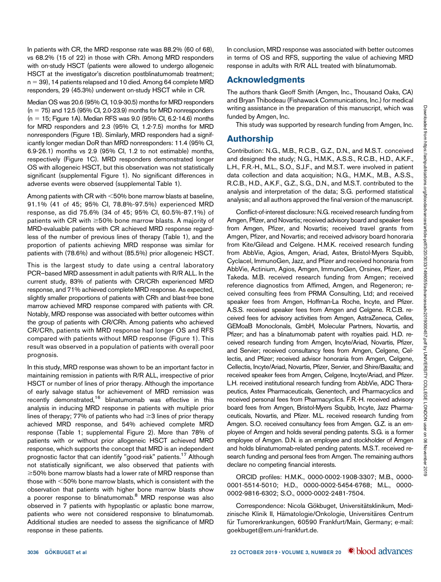In patients with CR, the MRD response rate was 88.2% (60 of 68), vs 68.2% (15 of 22) in those with CRh. Among MRD responders with on-study HSCT (patients were allowed to undergo allogeneic HSCT at the investigator's discretion postblinatumomab treatment;  $n = 39$ ), 14 patients relapsed and 10 died. Among 64 complete MRD responders, 29 (45.3%) underwent on-study HSCT while in CR.

Median OS was 20.6 (95% CI, 10.9-30.5) months for MRD responders  $(n = 75)$  and 12.5 (95% Cl, 2.0-23.9) months for MRD nonresponders  $(n = 15;$  Figure 1A). Median RFS was 9.0 (95% CI, 6.2-14.6) months for MRD responders and 2.3 (95% CI, 1.2-7.5) months for MRD nonresponders (Figure 1B). Similarly, MRD responders had a significantly longer median DoR than MRD nonresponders: 11.4 (95% CI, 6.9-26.1) months vs 2.9 (95% CI, 1.2 to not estimable) months, respectively (Figure 1C). MRD responders demonstrated longer OS with allogeneic HSCT, but this observation was not statistically significant (supplemental Figure 1). No significant differences in adverse events were observed (supplemental Table 1).

Among patients with  $CR$  with  $<50\%$  bone marrow blasts at baseline, 91.1% (41 of 45; 95% CI, 78.8%-97.5%) experienced MRD response, as did 75.6% (34 of 45; 95% CI, 60.5%-87.1%) of patients with  $CR$  with  $\geq$ 50% bone marrow blasts. A majority of MRD-evaluable patients with CR achieved MRD response regardless of the number of previous lines of therapy (Table 1), and the proportion of patients achieving MRD response was similar for patients with (78.6%) and without (85.5%) prior allogeneic HSCT.

This is the largest study to date using a central laboratory PCR–based MRD assessment in adult patients with R/R ALL. In the current study, 83% of patients with CR/CRh experienced MRD response, and 71% achieved complete MRD response. As expected, slightly smaller proportions of patients with CRh and blast-free bone marrow achieved MRD response compared with patients with CR. Notably, MRD response was associated with better outcomes within the group of patients with CR/CRh. Among patients who achieved CR/CRh, patients with MRD response had longer OS and RFS compared with patients without MRD response (Figure 1). This result was observed in a population of patients with overall poor prognosis.

In this study, MRD response was shown to be an important factor in maintaining remission in patients with R/R ALL, irrespective of prior HSCT or number of lines of prior therapy. Although the importance of early salvage status for achievement of MRD remission was recently demonstrated,<sup>16</sup> blinatumomab was effective in this analysis in inducing MRD response in patients with multiple prior lines of therapy; 77% of patients who had  $\geq$ 3 lines of prior therapy achieved MRD response, and 54% achieved complete MRD response (Table 1; supplemental Figure 2). More than 78% of patients with or without prior allogeneic HSCT achieved MRD response, which supports the concept that MRD is an independent prognostic factor that can identify "good-risk" patients.<sup>17</sup> Although not statistically significant, we also observed that patients with  $\geq$  50% bone marrow blasts had a lower rate of MRD response than those with  $<$ 50% bone marrow blasts, which is consistent with the observation that patients with higher bone marrow blasts show a poorer response to blinatumomab.<sup>8</sup> MRD response was also observed in 7 patients with hypoplastic or aplastic bone marrow, patients who were not considered responsive to blinatumomab. Additional studies are needed to assess the significance of MRD response in these patients.

In conclusion, MRD response was associated with better outcomes in terms of OS and RFS, supporting the value of achieving MRD response in adults with R/R ALL treated with blinatumomab.

### Acknowledgments

The authors thank Geoff Smith (Amgen, Inc., Thousand Oaks, CA) and Bryan Thibodeau (Fishawack Communications, Inc.) for medical writing assistance in the preparation of this manuscript, which was funded by Amgen, Inc.

This study was supported by research funding from Amgen, Inc.

## Authorship

Contribution: N.G., M.B., R.C.B., G.Z., D.N., and M.S.T. conceived and designed the study; N.G., H.M.K., A.S.S., R.C.B., H.D., A.K.F., L.H., F.R.-H., M.L., S.O., S.J.F., and M.S.T. were involved in patient data collection and data acquisition; N.G., H.M.K., M.B., A.S.S., R.C.B., H.D., A.K.F., G.Z., S.G., D.N., and M.S.T. contributed to the analysis and interpretation of the data; S.G. performed statistical analysis; and all authors approved the final version of the manuscript.

Conflict-of-interest disclosure: N.G. received research funding from Amgen, Pfizer, and Novartis; received advisory board and speaker fees from Amgen, Pfizer, and Novartis; received travel grants from Amgen, Pfizer, and Novartis; and received advisory board honoraria from Kite/Gilead and Celgene. H.M.K. received research funding from AbbVie, Agios, Amgen, Ariad, Astex, Bristol-Myers Squibb, Cyclacel, ImmunoGen, Jazz, and Pfizer and received honoraria from AbbVie, Actinium, Agios, Amgen, ImmunoGen, Orsinex, Pfizer, and Takeda. M.B. received research funding from Amgen; received reference diagnostics from Affimed, Amgen, and Regeneron; received consulting fees from PRMA Consulting, Ltd; and received speaker fees from Amgen, Hoffman-La Roche, Incyte, and Pfizer. A.S.S. received speaker fees from Amgen and Celgene. R.C.B. received fees for advisory activities from Amgen, AstraZeneca, Cellex, GEMoaB Monoclonals, GmbH, Molecular Partners, Novartis, and Pfizer; and has a blinatumomab patent with royalties paid. H.D. received research funding from Amgen, Incyte/Ariad, Novartis, Pfizer, and Servier; received consultancy fees from Amgen, Celgene, Cellectis, and Pfizer; received advisor honoraria from Amgen, Celgene, Cellectis, Incyte/Ariad, Novartis, Pfizer, Servier, and Shire/Baxalta; and received speaker fees from Amgen, Celgene, Incyte/Ariad, and Pfizer. L.H. received institutional research funding from AbbVie, ADC Therapeutics, Astex Pharmaceuticals, Genentech, and Pharmacyclics and received personal fees from Pharmacyclics. F.R.-H. received advisory board fees from Amgen, Bristol-Myers Squibb, Incyte, Jazz Pharmaceuticals, Novartis, and Pfizer. M.L. received research funding from Amgen. S.O. received consultancy fees from Amgen. G.Z. is an employee of Amgen and holds several pending patents. S.G. is a former employee of Amgen. D.N. is an employee and stockholder of Amgen and holds blinatumomab-related pending patents. M.S.T. received research funding and personal fees from Amgen. The remaining authors declare no competing financial interests.

ORCID profiles: H.M.K., [0000-0002-1908-3307](http://orcid.org/0000-0002-1908-3307); M.B., [0000-](http://orcid.org/0000-0001-5514-5010) [0001-5514-5010;](http://orcid.org/0000-0001-5514-5010) H.D., [0000-0002-5454-6768;](http://orcid.org/0000-0002-5454-6768) M.L., [0000-](http://orcid.org/0000-0002-9816-6302) [0002-9816-6302;](http://orcid.org/0000-0002-9816-6302) S.O., [0000-0002-2481-7504.](http://orcid.org/0000-0002-2481-7504)

Correspondence: Nicola Gökbuget, Universitätsklinikum, Medizinische Klinik II, Hämatologie/Onkologie, Universitäres Centrum für Tumorerkrankungen, 60590 Frankfurt/Main, Germany; e-mail: [goekbuget@em.uni-frankfurt.de.](mailto:goekbuget@em.uni-frankfurt.de)